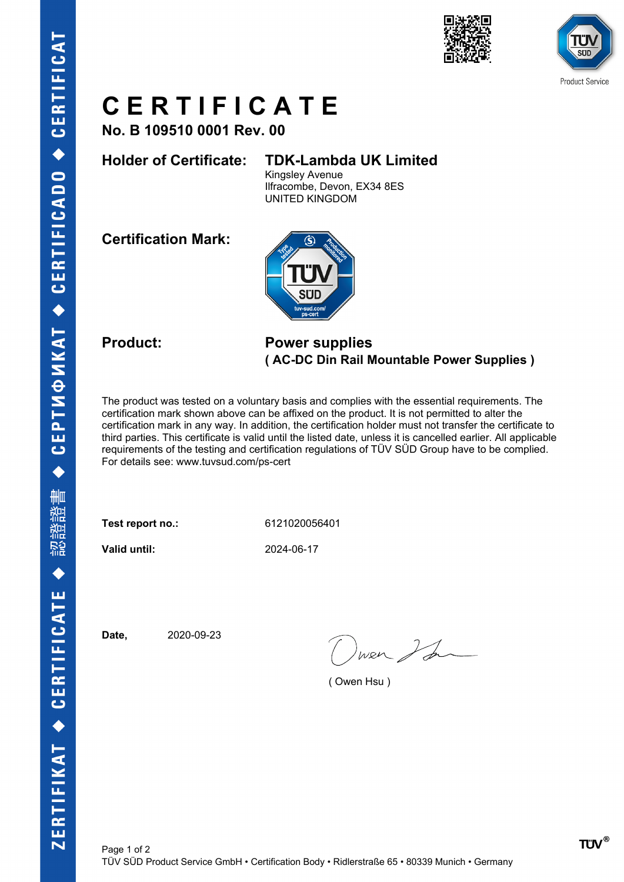



# **C E R T I F I C A T E**

**No. B 109510 0001 Rev. 00**

### **Holder of Certificate: TDK-Lambda UK Limited**

Kingsley Avenue Ilfracombe, Devon, EX34 8ES UNITED KINGDOM

**Certification Mark:**



#### **Product: Power supplies ( AC-DC Din Rail Mountable Power Supplies )**

The product was tested on a voluntary basis and complies with the essential requirements. The certification mark shown above can be affixed on the product. It is not permitted to alter the certification mark in any way. In addition, the certification holder must not transfer the certificate to third parties. This certificate is valid until the listed date, unless it is cancelled earlier. All applicable requirements of the testing and certification regulations of TÜV SÜD Group have to be complied. For details see: www.tuvsud.com/ps-cert

**Test report no.:** 6121020056401

**Valid until:** 2024-06-17

**Date,** 2020-09-23

wer I for

( Owen Hsu )